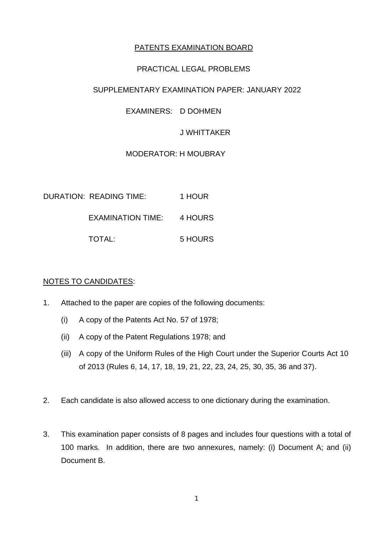# PATENTS EXAMINATION BOARD

## PRACTICAL LEGAL PROBLEMS

## SUPPLEMENTARY EXAMINATION PAPER: JANUARY 2022

## EXAMINERS: D DOHMEN

## J WHITTAKER

# MODERATOR: H MOUBRAY

| DURATION: READING TIME: | 1 HOUR  |
|-------------------------|---------|
| EXAMINATION TIME:       | 4 HOURS |
| TOTAL:                  | 5 HOURS |

## NOTES TO CANDIDATES:

- 1. Attached to the paper are copies of the following documents:
	- (i) A copy of the Patents Act No. 57 of 1978;
	- (ii) A copy of the Patent Regulations 1978; and
	- (iii) A copy of the Uniform Rules of the High Court under the Superior Courts Act 10 of 2013 (Rules 6, 14, 17, 18, 19, 21, 22, 23, 24, 25, 30, 35, 36 and 37).
- 2. Each candidate is also allowed access to one dictionary during the examination.
- 3. This examination paper consists of 8 pages and includes four questions with a total of 100 marks. In addition, there are two annexures, namely: (i) Document A; and (ii) Document B.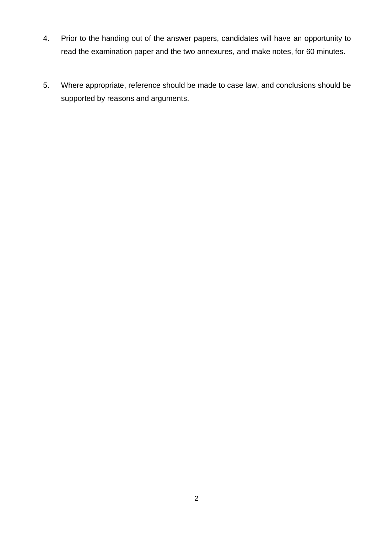- 4. Prior to the handing out of the answer papers, candidates will have an opportunity to read the examination paper and the two annexures, and make notes, for 60 minutes.
- 5. Where appropriate, reference should be made to case law, and conclusions should be supported by reasons and arguments.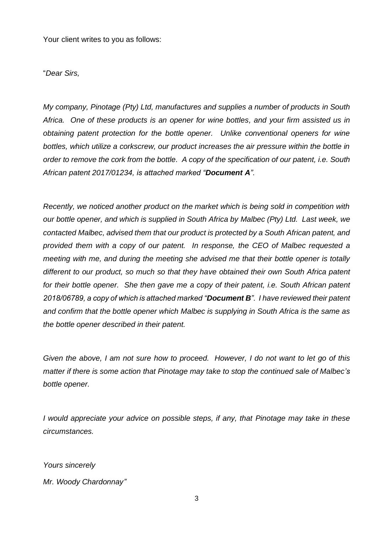Your client writes to you as follows:

"*Dear Sirs,*

*My company, Pinotage (Pty) Ltd, manufactures and supplies a number of products in South Africa. One of these products is an opener for wine bottles, and your firm assisted us in obtaining patent protection for the bottle opener. Unlike conventional openers for wine bottles, which utilize a corkscrew, our product increases the air pressure within the bottle in order to remove the cork from the bottle. A copy of the specification of our patent, i.e. South African patent 2017/01234, is attached marked "Document A".*

*Recently, we noticed another product on the market which is being sold in competition with our bottle opener, and which is supplied in South Africa by Malbec (Pty) Ltd. Last week, we contacted Malbec, advised them that our product is protected by a South African patent, and provided them with a copy of our patent. In response, the CEO of Malbec requested a meeting with me, and during the meeting she advised me that their bottle opener is totally different to our product, so much so that they have obtained their own South Africa patent for their bottle opener. She then gave me a copy of their patent, i.e. South African patent 2018/06789, a copy of which is attached marked "Document B". I have reviewed their patent and confirm that the bottle opener which Malbec is supplying in South Africa is the same as the bottle opener described in their patent.*

*Given the above, I am not sure how to proceed. However, I do not want to let go of this matter if there is some action that Pinotage may take to stop the continued sale of Malbec's bottle opener.*

*I would appreciate your advice on possible steps, if any, that Pinotage may take in these circumstances.*

*Yours sincerely*

*Mr. Woody Chardonnay"*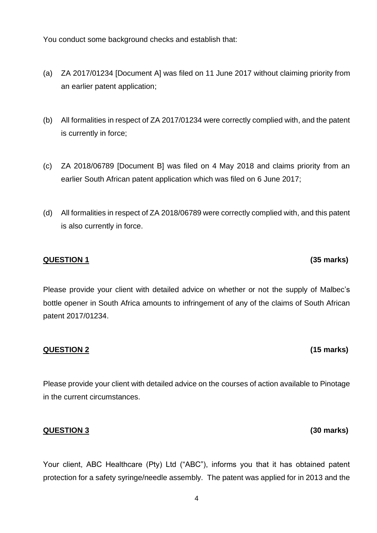You conduct some background checks and establish that:

- (a) ZA 2017/01234 [Document A] was filed on 11 June 2017 without claiming priority from an earlier patent application;
- (b) All formalities in respect of ZA 2017/01234 were correctly complied with, and the patent is currently in force;
- (c) ZA 2018/06789 [Document B] was filed on 4 May 2018 and claims priority from an earlier South African patent application which was filed on 6 June 2017;
- (d) All formalities in respect of ZA 2018/06789 were correctly complied with, and this patent is also currently in force.

## **QUESTION 1 (35 marks)**

Please provide your client with detailed advice on whether or not the supply of Malbec's bottle opener in South Africa amounts to infringement of any of the claims of South African patent 2017/01234.

### **QUESTION 2 (15 marks)**

Please provide your client with detailed advice on the courses of action available to Pinotage in the current circumstances.

### **QUESTION 3 (30 marks)**

Your client, ABC Healthcare (Pty) Ltd ("ABC"), informs you that it has obtained patent protection for a safety syringe/needle assembly. The patent was applied for in 2013 and the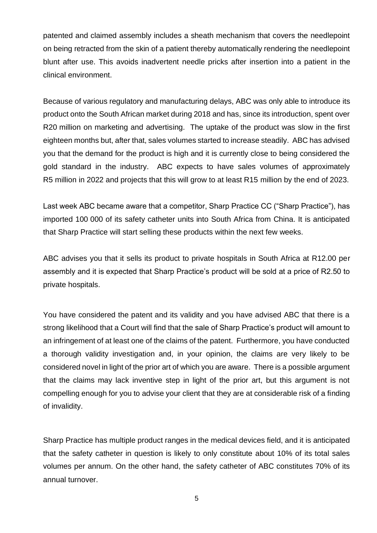patented and claimed assembly includes a sheath mechanism that covers the needlepoint on being retracted from the skin of a patient thereby automatically rendering the needlepoint blunt after use. This avoids inadvertent needle pricks after insertion into a patient in the clinical environment.

Because of various regulatory and manufacturing delays, ABC was only able to introduce its product onto the South African market during 2018 and has, since its introduction, spent over R20 million on marketing and advertising. The uptake of the product was slow in the first eighteen months but, after that, sales volumes started to increase steadily. ABC has advised you that the demand for the product is high and it is currently close to being considered the gold standard in the industry. ABC expects to have sales volumes of approximately R5 million in 2022 and projects that this will grow to at least R15 million by the end of 2023.

Last week ABC became aware that a competitor, Sharp Practice CC ("Sharp Practice"), has imported 100 000 of its safety catheter units into South Africa from China. It is anticipated that Sharp Practice will start selling these products within the next few weeks.

ABC advises you that it sells its product to private hospitals in South Africa at R12.00 per assembly and it is expected that Sharp Practice's product will be sold at a price of R2.50 to private hospitals.

You have considered the patent and its validity and you have advised ABC that there is a strong likelihood that a Court will find that the sale of Sharp Practice's product will amount to an infringement of at least one of the claims of the patent. Furthermore, you have conducted a thorough validity investigation and, in your opinion, the claims are very likely to be considered novel in light of the prior art of which you are aware. There is a possible argument that the claims may lack inventive step in light of the prior art, but this argument is not compelling enough for you to advise your client that they are at considerable risk of a finding of invalidity.

Sharp Practice has multiple product ranges in the medical devices field, and it is anticipated that the safety catheter in question is likely to only constitute about 10% of its total sales volumes per annum. On the other hand, the safety catheter of ABC constitutes 70% of its annual turnover.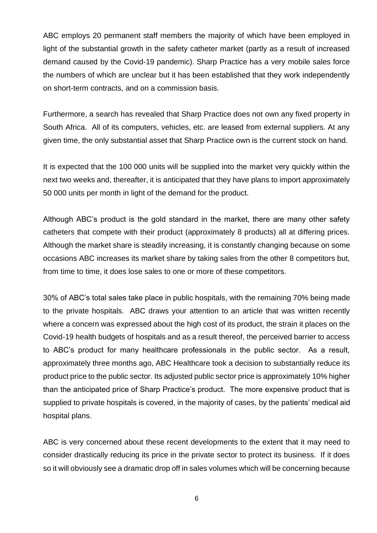ABC employs 20 permanent staff members the majority of which have been employed in light of the substantial growth in the safety catheter market (partly as a result of increased demand caused by the Covid-19 pandemic). Sharp Practice has a very mobile sales force the numbers of which are unclear but it has been established that they work independently on short-term contracts, and on a commission basis.

Furthermore, a search has revealed that Sharp Practice does not own any fixed property in South Africa. All of its computers, vehicles, etc. are leased from external suppliers. At any given time, the only substantial asset that Sharp Practice own is the current stock on hand.

It is expected that the 100 000 units will be supplied into the market very quickly within the next two weeks and, thereafter, it is anticipated that they have plans to import approximately 50 000 units per month in light of the demand for the product.

Although ABC's product is the gold standard in the market, there are many other safety catheters that compete with their product (approximately 8 products) all at differing prices. Although the market share is steadily increasing, it is constantly changing because on some occasions ABC increases its market share by taking sales from the other 8 competitors but, from time to time, it does lose sales to one or more of these competitors.

30% of ABC's total sales take place in public hospitals, with the remaining 70% being made to the private hospitals. ABC draws your attention to an article that was written recently where a concern was expressed about the high cost of its product, the strain it places on the Covid-19 health budgets of hospitals and as a result thereof, the perceived barrier to access to ABC's product for many healthcare professionals in the public sector. As a result, approximately three months ago, ABC Healthcare took a decision to substantially reduce its product price to the public sector. Its adjusted public sector price is approximately 10% higher than the anticipated price of Sharp Practice's product. The more expensive product that is supplied to private hospitals is covered, in the majority of cases, by the patients' medical aid hospital plans.

ABC is very concerned about these recent developments to the extent that it may need to consider drastically reducing its price in the private sector to protect its business. If it does so it will obviously see a dramatic drop off in sales volumes which will be concerning because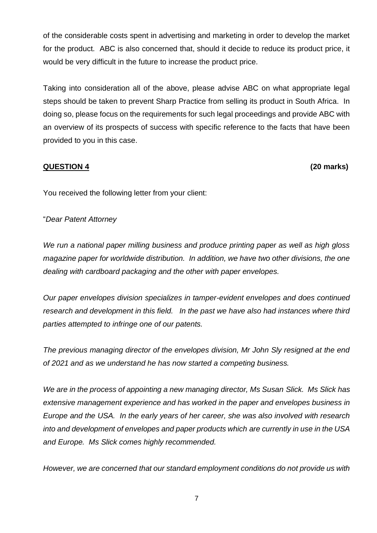of the considerable costs spent in advertising and marketing in order to develop the market for the product. ABC is also concerned that, should it decide to reduce its product price, it would be very difficult in the future to increase the product price.

Taking into consideration all of the above, please advise ABC on what appropriate legal steps should be taken to prevent Sharp Practice from selling its product in South Africa. In doing so, please focus on the requirements for such legal proceedings and provide ABC with an overview of its prospects of success with specific reference to the facts that have been provided to you in this case.

## **QUESTION 4 (20 marks)**

You received the following letter from your client:

"*Dear Patent Attorney*

*We run a national paper milling business and produce printing paper as well as high gloss magazine paper for worldwide distribution. In addition, we have two other divisions, the one dealing with cardboard packaging and the other with paper envelopes.*

*Our paper envelopes division specializes in tamper-evident envelopes and does continued research and development in this field. In the past we have also had instances where third parties attempted to infringe one of our patents.*

*The previous managing director of the envelopes division, Mr John Sly resigned at the end of 2021 and as we understand he has now started a competing business.*

*We are in the process of appointing a new managing director, Ms Susan Slick. Ms Slick has extensive management experience and has worked in the paper and envelopes business in Europe and the USA. In the early years of her career, she was also involved with research into and development of envelopes and paper products which are currently in use in the USA and Europe. Ms Slick comes highly recommended.*

*However, we are concerned that our standard employment conditions do not provide us with*